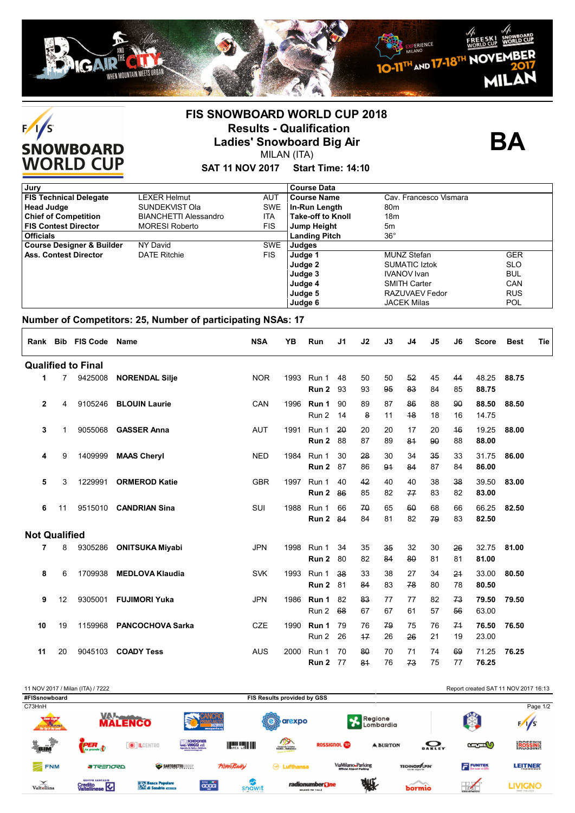



## **FIS SNOWBOARD WORLD CUP 2018 Results - Qualification Ladies' Snowboard Big Air** MILAN (ITA)

**BA**

## **SAT 11 NOV 2017 Start Time: 14:10**

| Jury                                 |                              |            | <b>Course Data</b>       |                        |            |
|--------------------------------------|------------------------------|------------|--------------------------|------------------------|------------|
| <b>FIS Technical Delegate</b>        | LEXER Helmut                 | AUT        | <b>Course Name</b>       | Cav. Francesco Vismara |            |
| <b>Head Judge</b>                    | SUNDEKVIST Ola               | <b>SWE</b> | In-Run Length            | 80 <sub>m</sub>        |            |
| <b>Chief of Competition</b>          | <b>BIANCHETTI Alessandro</b> | ITA        | <b>Take-off to Knoll</b> | 18m                    |            |
| <b>FIS Contest Director</b>          | <b>MORESI Roberto</b>        | FIS.       | Jump Height              | 5m                     |            |
| <b>Officials</b>                     |                              |            | <b>Landing Pitch</b>     | $36^{\circ}$           |            |
| <b>Course Designer &amp; Builder</b> | NY David                     | <b>SWE</b> | Judges                   |                        |            |
| <b>Ass. Contest Director</b>         | <b>DATE Ritchie</b>          | <b>FIS</b> | Judge 1                  | <b>MUNZ Stefan</b>     | <b>GER</b> |
|                                      |                              |            | Judge 2                  | <b>SUMATIC Iztok</b>   | <b>SLO</b> |
|                                      |                              |            | Judge 3                  | <b>IVANOV</b> Ivan     | <b>BUL</b> |
|                                      |                              |            | Judge 4                  | <b>SMITH Carter</b>    | CAN        |
|                                      |                              |            | Judge 5                  | RAZUVAEV Fedor         | <b>RUS</b> |
|                                      |                              |            | Judge 6                  | <b>JACEK Milas</b>     | <b>POL</b> |

### **Number of Competitors: 25, Number of participating NSAs: 17**

| Rank                      |                | <b>Bib FIS Code Name</b> |                         | <b>NSA</b> | <b>YB</b> | Run            | J1       | J2         | J3       | J4       | J5       | J6       | <b>Score</b>   | <b>Best</b> | Tie |
|---------------------------|----------------|--------------------------|-------------------------|------------|-----------|----------------|----------|------------|----------|----------|----------|----------|----------------|-------------|-----|
| <b>Qualified to Final</b> |                |                          |                         |            |           |                |          |            |          |          |          |          |                |             |     |
| 1                         | $\overline{7}$ | 9425008                  | <b>NORENDAL Silje</b>   | <b>NOR</b> | 1993      | Run 1<br>Run 2 | 48<br>93 | 50<br>93   | 50<br>95 | 52<br>83 | 45<br>84 | 44<br>85 | 48.25<br>88.75 | 88.75       |     |
| $\overline{2}$            | 4              | 9105246                  | <b>BLOUIN Laurie</b>    | CAN        | 1996      | Run 1<br>Run 2 | 90<br>14 | 89<br>8    | 87<br>11 | 86<br>48 | 88<br>18 | 90<br>16 | 88.50<br>14.75 | 88.50       |     |
| 3                         | 1              | 9055068                  | <b>GASSER Anna</b>      | <b>AUT</b> | 1991      | Run 1<br>Run 2 | 20<br>88 | 20<br>87   | 20<br>89 | 17<br>84 | 20<br>90 | 46<br>88 | 19.25<br>88.00 | 88.00       |     |
| 4                         | 9              | 1409999                  | <b>MAAS Cheryl</b>      | <b>NED</b> | 1984      | Run 1<br>Run 2 | 30<br>87 | 28<br>86   | 30<br>94 | 34<br>84 | 35<br>87 | 33<br>84 | 31.75<br>86.00 | 86.00       |     |
| 5                         | 3              | 1229991                  | <b>ORMEROD Katie</b>    | <b>GBR</b> | 1997      | Run 1<br>Run 2 | 40<br>86 | 42<br>85   | 40<br>82 | 40<br>77 | 38<br>83 | 38<br>82 | 39.50<br>83.00 | 83.00       |     |
| 6                         | 11             |                          | 9515010 CANDRIAN Sina   | SUI        | 1988      | Run 1<br>Run 2 | 66<br>84 | 70<br>84   | 65<br>81 | 60<br>82 | 68<br>79 | 66<br>83 | 66.25<br>82.50 | 82.50       |     |
| <b>Not Qualified</b>      |                |                          |                         |            |           |                |          |            |          |          |          |          |                |             |     |
| 7                         | 8              | 9305286                  | <b>ONITSUKA Miyabi</b>  | <b>JPN</b> | 1998      | Run 1<br>Run 2 | 34<br>80 | 35<br>82   | 35<br>84 | 32<br>80 | 30<br>81 | 26<br>81 | 32.75<br>81.00 | 81.00       |     |
| 8                         | 6              | 1709938                  | <b>MEDLOVA Klaudia</b>  | <b>SVK</b> | 1993      | Run 1<br>Run 2 | 38<br>81 | 33<br>84   | 38<br>83 | 27<br>78 | 34<br>80 | 24<br>78 | 33.00<br>80.50 | 80.50       |     |
| 9                         | 12             | 9305001                  | <b>FUJIMORI Yuka</b>    | <b>JPN</b> | 1986      | Run 1<br>Run 2 | 82<br>68 | 83<br>67   | 77<br>67 | 77<br>61 | 82<br>57 | 73<br>56 | 79.50<br>63.00 | 79.50       |     |
| 10                        | 19             | 1159968                  | <b>PANCOCHOVA Sarka</b> | <b>CZE</b> | 1990      | Run 1<br>Run 2 | 79<br>26 | 76<br>$+7$ | 79<br>26 | 75<br>26 | 76<br>21 | 74<br>19 | 76.50<br>23.00 | 76.50       |     |
| 11                        | 20             | 9045103                  | <b>COADY Tess</b>       | <b>AUS</b> | 2000      | Run 1<br>Run 2 | 70<br>77 | 80<br>81   | 70<br>76 | 71<br>73 | 74<br>75 | 69<br>77 | 71.25<br>76.25 | 76.25       |     |